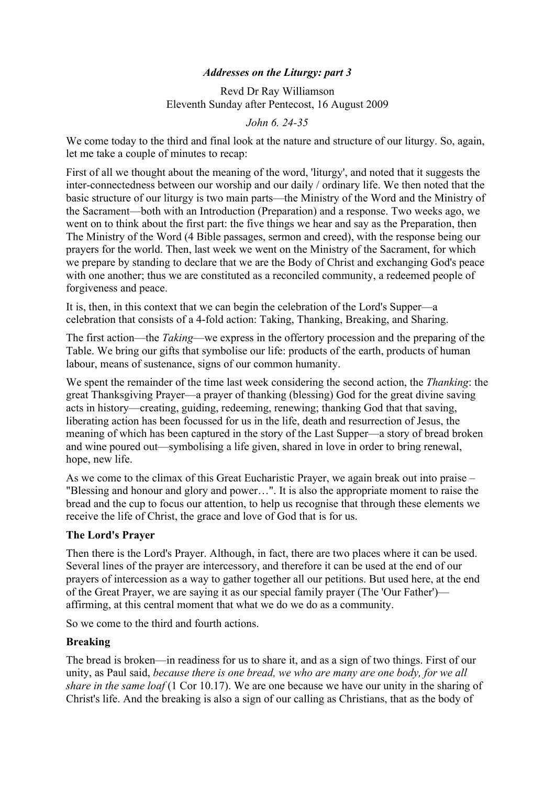# *Addresses on the Liturgy: part 3*

Revd Dr Ray Williamson Eleventh Sunday after Pentecost, 16 August 2009

*John 6. 24-35*

We come today to the third and final look at the nature and structure of our liturgy. So, again, let me take a couple of minutes to recap:

First of all we thought about the meaning of the word, 'liturgy', and noted that it suggests the inter-connectedness between our worship and our daily / ordinary life. We then noted that the basic structure of our liturgy is two main parts—the Ministry of the Word and the Ministry of the Sacrament—both with an Introduction (Preparation) and a response. Two weeks ago, we went on to think about the first part: the five things we hear and say as the Preparation, then The Ministry of the Word (4 Bible passages, sermon and creed), with the response being our prayers for the world. Then, last week we went on the Ministry of the Sacrament, for which we prepare by standing to declare that we are the Body of Christ and exchanging God's peace with one another; thus we are constituted as a reconciled community, a redeemed people of forgiveness and peace.

It is, then, in this context that we can begin the celebration of the Lord's Supper—a celebration that consists of a 4-fold action: Taking, Thanking, Breaking, and Sharing.

The first action—the *Taking*—we express in the offertory procession and the preparing of the Table. We bring our gifts that symbolise our life: products of the earth, products of human labour, means of sustenance, signs of our common humanity.

We spent the remainder of the time last week considering the second action, the *Thanking*: the great Thanksgiving Prayer—a prayer of thanking (blessing) God for the great divine saving acts in history—creating, guiding, redeeming, renewing; thanking God that that saving, liberating action has been focussed for us in the life, death and resurrection of Jesus, the meaning of which has been captured in the story of the Last Supper—a story of bread broken and wine poured out—symbolising a life given, shared in love in order to bring renewal, hope, new life.

As we come to the climax of this Great Eucharistic Prayer, we again break out into praise – "Blessing and honour and glory and power…". It is also the appropriate moment to raise the bread and the cup to focus our attention, to help us recognise that through these elements we receive the life of Christ, the grace and love of God that is for us.

# **The Lord's Prayer**

Then there is the Lord's Prayer. Although, in fact, there are two places where it can be used. Several lines of the prayer are intercessory, and therefore it can be used at the end of our prayers of intercession as a way to gather together all our petitions. But used here, at the end of the Great Prayer, we are saying it as our special family prayer (The 'Our Father') affirming, at this central moment that what we do we do as a community.

So we come to the third and fourth actions.

#### **Breaking**

The bread is broken—in readiness for us to share it, and as a sign of two things. First of our unity, as Paul said, *because there is one bread, we who are many are one body, for we all share in the same loaf* (1 Cor 10.17). We are one because we have our unity in the sharing of Christ's life. And the breaking is also a sign of our calling as Christians, that as the body of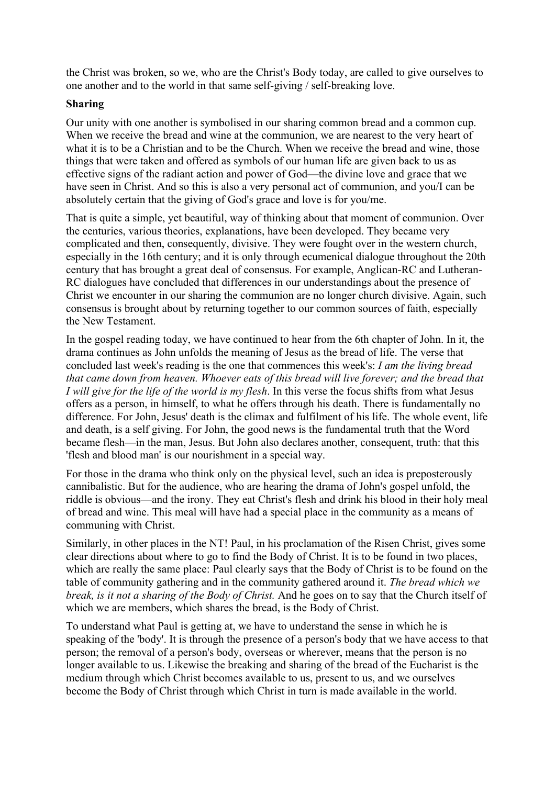the Christ was broken, so we, who are the Christ's Body today, are called to give ourselves to one another and to the world in that same self-giving / self-breaking love.

### **Sharing**

Our unity with one another is symbolised in our sharing common bread and a common cup. When we receive the bread and wine at the communion, we are nearest to the very heart of what it is to be a Christian and to be the Church. When we receive the bread and wine, those things that were taken and offered as symbols of our human life are given back to us as effective signs of the radiant action and power of God—the divine love and grace that we have seen in Christ. And so this is also a very personal act of communion, and you/I can be absolutely certain that the giving of God's grace and love is for you/me.

That is quite a simple, yet beautiful, way of thinking about that moment of communion. Over the centuries, various theories, explanations, have been developed. They became very complicated and then, consequently, divisive. They were fought over in the western church, especially in the 16th century; and it is only through ecumenical dialogue throughout the 20th century that has brought a great deal of consensus. For example, Anglican-RC and Lutheran-RC dialogues have concluded that differences in our understandings about the presence of Christ we encounter in our sharing the communion are no longer church divisive. Again, such consensus is brought about by returning together to our common sources of faith, especially the New Testament.

In the gospel reading today, we have continued to hear from the 6th chapter of John. In it, the drama continues as John unfolds the meaning of Jesus as the bread of life. The verse that concluded last week's reading is the one that commences this week's: *I am the living bread that came down from heaven. Whoever eats of this bread will live forever; and the bread that I will give for the life of the world is my flesh*. In this verse the focus shifts from what Jesus offers as a person, in himself, to what he offers through his death. There is fundamentally no difference. For John, Jesus' death is the climax and fulfilment of his life. The whole event, life and death, is a self giving. For John, the good news is the fundamental truth that the Word became flesh—in the man, Jesus. But John also declares another, consequent, truth: that this 'flesh and blood man' is our nourishment in a special way.

For those in the drama who think only on the physical level, such an idea is preposterously cannibalistic. But for the audience, who are hearing the drama of John's gospel unfold, the riddle is obvious—and the irony. They eat Christ's flesh and drink his blood in their holy meal of bread and wine. This meal will have had a special place in the community as a means of communing with Christ.

Similarly, in other places in the NT! Paul, in his proclamation of the Risen Christ, gives some clear directions about where to go to find the Body of Christ. It is to be found in two places, which are really the same place: Paul clearly says that the Body of Christ is to be found on the table of community gathering and in the community gathered around it. *The bread which we break, is it not a sharing of the Body of Christ.* And he goes on to say that the Church itself of which we are members, which shares the bread, is the Body of Christ.

To understand what Paul is getting at, we have to understand the sense in which he is speaking of the 'body'. It is through the presence of a person's body that we have access to that person; the removal of a person's body, overseas or wherever, means that the person is no longer available to us. Likewise the breaking and sharing of the bread of the Eucharist is the medium through which Christ becomes available to us, present to us, and we ourselves become the Body of Christ through which Christ in turn is made available in the world.